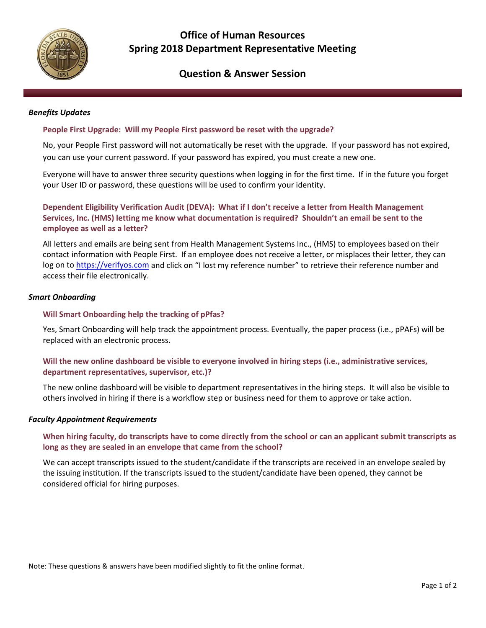

# **Office of Human Resources Spring 2018 Department Representative Meeting**

## **Question & Answer Session**

#### *Benefits Updates*

## **People First Upgrade: Will my People First password be reset with the upgrade?**

No, your People First password will not automatically be reset with the upgrade. If your password has not expired, you can use your current password. If your password has expired, you must create a new one.

Everyone will have to answer three security questions when logging in for the first time. If in the future you forget your User ID or password, these questions will be used to confirm your identity.

**Dependent Eligibility Verification Audit (DEVA): What if I don't receive a letter from Health Management Services, Inc. (HMS) letting me know what documentation is required? Shouldn't an email be sent to the employee as well as a letter?**

All letters and emails are being sent from Health Management Systems Inc., (HMS) to employees based on their contact information with People First. If an employee does not receive a letter, or misplaces their letter, they can log on to [https://verifyos.com](https://verifyos.com/) and click on "I lost my reference number" to retrieve their reference number and access their file electronically.

#### *Smart Onboarding*

### **Will Smart Onboarding help the tracking of pPfas?**

Yes, Smart Onboarding will help track the appointment process. Eventually, the paper process (i.e., pPAFs) will be replaced with an electronic process.

## **Will the new online dashboard be visible to everyone involved in hiring steps (i.e., administrative services, department representatives, supervisor, etc.)?**

The new online dashboard will be visible to department representatives in the hiring steps. It will also be visible to others involved in hiring if there is a workflow step or business need for them to approve or take action.

#### *Faculty Appointment Requirements*

## **When hiring faculty, do transcripts have to come directly from the school or can an applicant submit transcripts as long as they are sealed in an envelope that came from the school?**

We can accept transcripts issued to the student/candidate if the transcripts are received in an envelope sealed by the issuing institution. If the transcripts issued to the student/candidate have been opened, they cannot be considered official for hiring purposes.

Note: These questions & answers have been modified slightly to fit the online format.